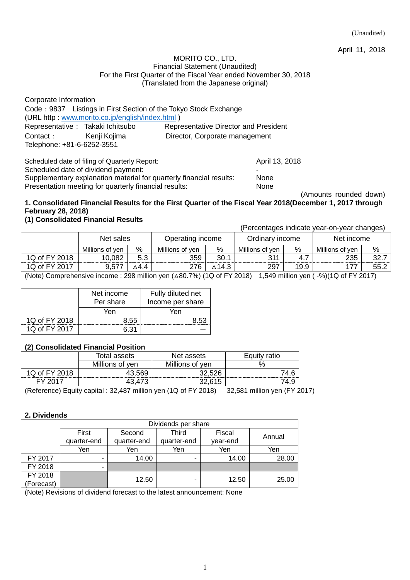April 11, 2018

#### MORITO CO., LTD. Financial Statement (Unaudited) For the First Quarter of the Fiscal Year ended November 30, 2018 (Translated from the Japanese original)

| Corporate Information             |                                                 |                                                                  |
|-----------------------------------|-------------------------------------------------|------------------------------------------------------------------|
|                                   |                                                 | Code: 9837 Listings in First Section of the Tokyo Stock Exchange |
|                                   | (URL http: www.morito.co.jp/english/index.html) |                                                                  |
| Representative : Takaki Ichitsubo |                                                 | Representative Director and President                            |
| Contact: Kenji Kojima             |                                                 | Director, Corporate management                                   |
| Telephone: +81-6-6252-3551        |                                                 |                                                                  |
|                                   | Scheduled date of filing of Quarterly Report:   | April 13, 2018                                                   |

Scheduled date of dividend payment:

Supplementary explanation material for quarterly financial results: None Presentation meeting for quarterly financial results: None

(Amounts rounded down)

## **1. Consolidated Financial Results for the First Quarter of the Fiscal Year 2018(December 1, 2017 through February 28, 2018)**

## **(1) Consolidated Financial Results**

(Percentages indicate year-on-year changes)

|               | Net sales       |      | Operating income |       | Ordinarv income |      | Net income      |      |
|---------------|-----------------|------|------------------|-------|-----------------|------|-----------------|------|
|               | Millions of ven | %    | Millions of yen  | %     | Millions of ven | $\%$ | Millions of ven | %    |
| 1Q of FY 2018 | 10,082          | 5.3  | 359              | 30.1  | 311             |      | 235             | 32.7 |
| 1Q of FY 2017 | 9,57            | ∆4.4 | 276              | ∆14.3 | 297             | 19.9 |                 | 55.2 |

(Note) Comprehensive income : 298 million yen  $(\triangle 80.7\%)$  (1Q of FY 2018) 1,549 million yen ( $-$ %)(1Q of FY 2017)

|               | Net income<br>Per share | Fully diluted net<br>Income per share |
|---------------|-------------------------|---------------------------------------|
|               | Yen                     | Yen                                   |
| 1Q of FY 2018 | 8.55                    | 8.53                                  |
| 1Q of FY 2017 | 6.31                    |                                       |

## **(2) Consolidated Financial Position**

|              | Total assets    | Net assets      | ratio<br>Eauitv |  |
|--------------|-----------------|-----------------|-----------------|--|
|              | Millions of yen | Millions of yen |                 |  |
| Q of FY 2018 | 43,569          | 32,526          | 74.6            |  |
| EV 2017      |                 | 32,615          | 4.9             |  |

(Reference) Equity capital : 32,487 million yen (1Q of FY 2018) 32,581 million yen (FY 2017)

## **2. Dividends**

|            | Dividends per share |             |             |          |        |  |  |
|------------|---------------------|-------------|-------------|----------|--------|--|--|
|            | First               | Second      | Third       | Fiscal   |        |  |  |
|            | quarter-end         | quarter-end | quarter-end | year-end | Annual |  |  |
|            | Yen                 | Yen         | Yen         | Yen      | Yen    |  |  |
| FY 2017    | ۰                   | 14.00       |             | 14.00    | 28.00  |  |  |
| FY 2018    | ۰                   |             |             |          |        |  |  |
| FY 2018    |                     | 12.50       |             | 12.50    | 25.00  |  |  |
| (Forecast) |                     |             |             |          |        |  |  |

(Note) Revisions of dividend forecast to the latest announcement: None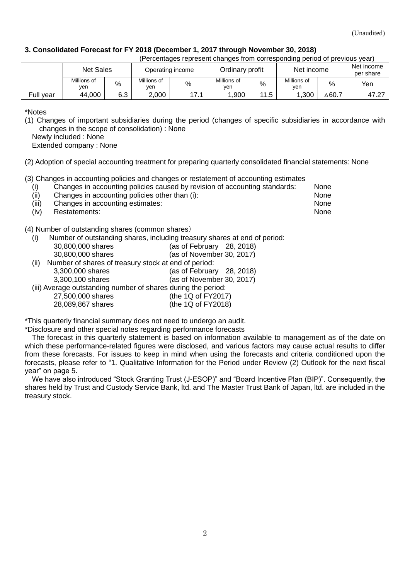### **3. Consolidated Forecast for FY 2018 (December 1, 2017 through November 30, 2018)**

| (Percentages represent changes from corresponding period of previous year) |  |  |  |  |
|----------------------------------------------------------------------------|--|--|--|--|
|                                                                            |  |  |  |  |

|           | Net Sales<br>Operating income |     |                    | Ordinary profit |                    | Net income |                    |                  |       |
|-----------|-------------------------------|-----|--------------------|-----------------|--------------------|------------|--------------------|------------------|-------|
|           | Millions of<br>ven            | %   | Millions of<br>ven | %               | Millions of<br>yen | %          | Millions of<br>yen | %                | Yen   |
| Full year | 44,000                        | 6.3 | 2,000              | 171             | ,900               | 11.5       | ,300               | $\triangle$ 60.7 | 47.27 |

\*Notes

(1) Changes of important subsidiaries during the period (changes of specific subsidiaries in accordance with changes in the scope of consolidation) : None

Newly included : None

Extended company : None

(2) Adoption of special accounting treatment for preparing quarterly consolidated financial statements: None

(3) Changes in accounting policies and changes or restatement of accounting estimates

| (i)   | , a complete the active account of the active account of the complete the complete the second complete members<br>Changes in accounting policies caused by revision of accounting standards: | None |
|-------|----------------------------------------------------------------------------------------------------------------------------------------------------------------------------------------------|------|
| (ii)  | Changes in accounting policies other than (i):                                                                                                                                               | None |
| (iii) | Changes in accounting estimates:                                                                                                                                                             | None |

(iv) Restatements: None

(4) Number of outstanding shares (common shares)

(i) Number of outstanding shares, including treasury shares at end of period:

|      | 30,800,000 shares                                             | (as of February 28, 2018) |
|------|---------------------------------------------------------------|---------------------------|
|      | 30,800,000 shares                                             | (as of November 30, 2017) |
| (ii) | Number of shares of treasury stock at end of period:          |                           |
|      | 3,300,000 shares                                              | (as of February 28, 2018) |
|      | 3,300,100 shares                                              | (as of November 30, 2017) |
|      | (iii) Average outstanding number of shares during the period: |                           |
|      | 27,500,000 shares                                             | (the 1Q of FY2017)        |
|      | 28,089,867 shares                                             | (the 1Q of FY2018)        |
|      |                                                               |                           |

\*This quarterly financial summary does not need to undergo an audit.

\*Disclosure and other special notes regarding performance forecasts

The forecast in this quarterly statement is based on information available to management as of the date on which these performance-related figures were disclosed, and various factors may cause actual results to differ from these forecasts. For issues to keep in mind when using the forecasts and criteria conditioned upon the forecasts, please refer to "1. Qualitative Information for the Period under Review (2) Outlook for the next fiscal year" on page 5.

We have also introduced "Stock Granting Trust (J-ESOP)" and "Board Incentive Plan (BIP)". Consequently, the shares held by Trust and Custody Service Bank, ltd. and The Master Trust Bank of Japan, ltd. are included in the treasury stock.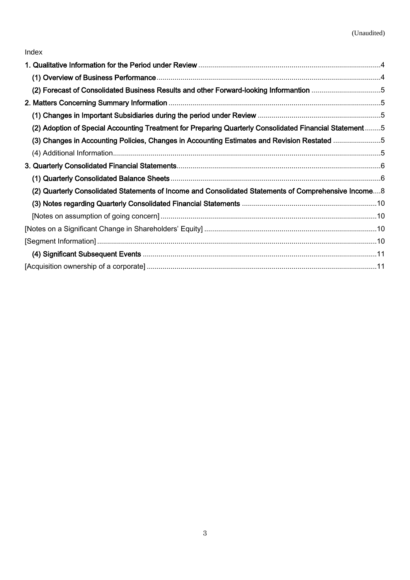| (2) Forecast of Consolidated Business Results and other Forward-looking Informantion 5                  |  |
|---------------------------------------------------------------------------------------------------------|--|
|                                                                                                         |  |
|                                                                                                         |  |
| (2) Adoption of Special Accounting Treatment for Preparing Quarterly Consolidated Financial Statement 5 |  |
| (3) Changes in Accounting Policies, Changes in Accounting Estimates and Revision Restated 5             |  |
|                                                                                                         |  |
|                                                                                                         |  |
|                                                                                                         |  |
| (2) Quarterly Consolidated Statements of Income and Consolidated Statements of Comprehensive Income8    |  |
|                                                                                                         |  |
|                                                                                                         |  |
|                                                                                                         |  |
|                                                                                                         |  |
|                                                                                                         |  |
|                                                                                                         |  |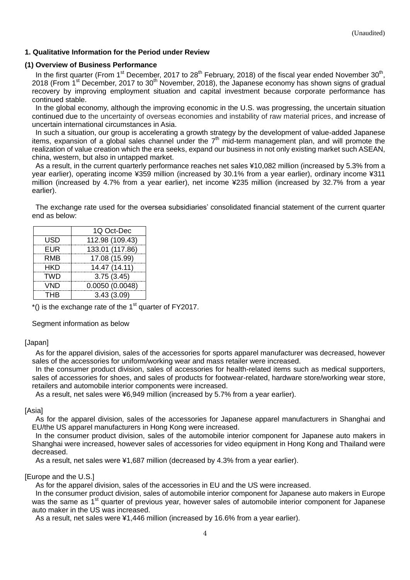### <span id="page-3-0"></span>**1. Qualitative Information for the Period under Review**

### <span id="page-3-1"></span>**(1) Overview of Business Performance**

In the first quarter (From 1<sup>st</sup> December, 2017 to 28<sup>th</sup> February, 2018) of the fiscal year ended November 30<sup>th</sup>, 2018 (From 1<sup>st</sup> December, 2017 to 30<sup>th</sup> November, 2018), the Japanese economy has shown signs of gradual recovery by improving employment situation and capital investment because corporate performance has continued stable.

In the global economy, although the improving economic in the U.S. was progressing, the uncertain situation continued due to the uncertainty of overseas economies and instability of raw material prices, and increase of uncertain international circumstances in Asia.

In such a situation, our group is accelerating a growth strategy by the development of value-added Japanese items, expansion of a global sales channel under the  $7<sup>th</sup>$  mid-term management plan, and will promote the realization of value creation which the era seeks, expand our business in not only existing market such ASEAN, china, western, but also in untapped market.

As a result, in the current quarterly performance reaches net sales ¥10,082 million (increased by 5.3% from a year earlier), operating income ¥359 million (increased by 30.1% from a year earlier), ordinary income ¥311 million (increased by 4.7% from a year earlier), net income ¥235 million (increased by 32.7% from a year earlier).

The exchange rate used for the oversea subsidiaries' consolidated financial statement of the current quarter end as below:

|            | 1Q Oct-Dec      |
|------------|-----------------|
| USD        | 112.98 (109.43) |
| <b>EUR</b> | 133.01 (117.86) |
| <b>RMB</b> | 17.08 (15.99)   |
| <b>HKD</b> | 14.47 (14.11)   |
| <b>TWD</b> | 3.75(3.45)      |
| <b>VND</b> | 0.0050(0.0048)  |
| <b>THB</b> | 3.43(3.09)      |

 $*($ ) is the exchange rate of the 1<sup>st</sup> quarter of FY2017.

Segment information as below

### [Japan]

As for the apparel division, sales of the accessories for sports apparel manufacturer was decreased, however sales of the accessories for uniform/working wear and mass retailer were increased.

In the consumer product division, sales of accessories for health-related items such as medical supporters, sales of accessories for shoes, and sales of products for footwear-related, hardware store/working wear store, retailers and automobile interior components were increased.

As a result, net sales were ¥6,949 million (increased by 5.7% from a year earlier).

### [Asia]

As for the apparel division, sales of the accessories for Japanese apparel manufacturers in Shanghai and EU/the US apparel manufacturers in Hong Kong were increased.

In the consumer product division, sales of the automobile interior component for Japanese auto makers in Shanghai were increased, however sales of accessories for video equipment in Hong Kong and Thailand were decreased.

As a result, net sales were ¥1,687 million (decreased by 4.3% from a year earlier).

#### [Europe and the U.S.]

As for the apparel division, sales of the accessories in EU and the US were increased.

In the consumer product division, sales of automobile interior component for Japanese auto makers in Europe was the same as 1<sup>st</sup> quarter of previous year, however sales of automobile interior component for Japanese auto maker in the US was increased.

As a result, net sales were ¥1,446 million (increased by 16.6% from a year earlier).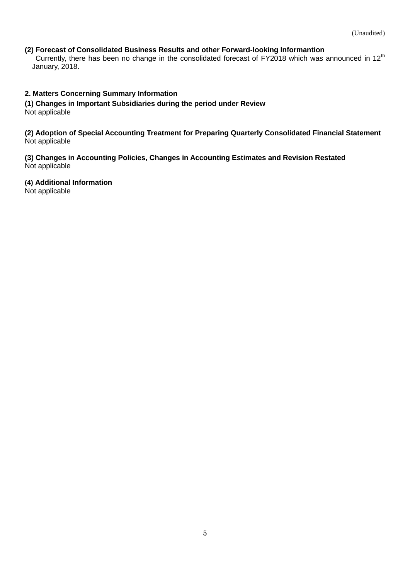## <span id="page-4-0"></span>**(2) Forecast of Consolidated Business Results and other Forward-looking Informantion**

Currently, there has been no change in the consolidated forecast of FY2018 which was announced in  $12<sup>th</sup>$ January, 2018.

### <span id="page-4-1"></span>**2. Matters Concerning Summary Information**

<span id="page-4-2"></span>**(1) Changes in Important Subsidiaries during the period under Review** Not applicable

<span id="page-4-3"></span>**(2) Adoption of Special Accounting Treatment for Preparing Quarterly Consolidated Financial Statement** Not applicable

<span id="page-4-4"></span>**(3) Changes in Accounting Policies, Changes in Accounting Estimates and Revision Restated** Not applicable

<span id="page-4-5"></span>**(4) Additional Information**

Not applicable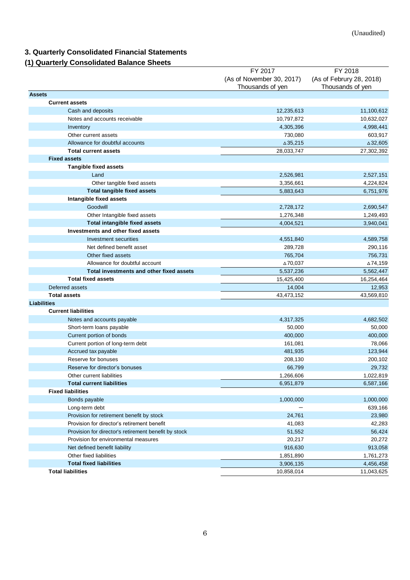# <span id="page-5-0"></span>**3. Quarterly Consolidated Financial Statements**

## <span id="page-5-1"></span>**(1) Quarterly Consolidated Balance Sheets**

|                                                      | FY 2017                   | FY 2018                  |
|------------------------------------------------------|---------------------------|--------------------------|
|                                                      | (As of November 30, 2017) | (As of Februry 28, 2018) |
|                                                      | Thousands of yen          | Thousands of yen         |
| <b>Assets</b>                                        |                           |                          |
| <b>Current assets</b>                                |                           |                          |
| Cash and deposits                                    | 12,235,613                | 11,100,612               |
| Notes and accounts receivable                        | 10,797,872                | 10,632,027               |
| Inventory                                            | 4,305,396                 | 4,998,441                |
| Other current assets                                 | 730,080                   | 603,917                  |
| Allowance for doubtful accounts                      | $\triangle$ 35,215        | $\triangle$ 32,605       |
| <b>Total current assets</b>                          | 28,033,747                | 27,302,392               |
| <b>Fixed assets</b>                                  |                           |                          |
| <b>Tangible fixed assets</b>                         |                           |                          |
| Land                                                 | 2,526,981                 | 2,527,151                |
| Other tangible fixed assets                          | 3,356,661                 | 4,224,824                |
| <b>Total tangible fixed assets</b>                   | 5,883,643                 | 6,751,976                |
| Intangible fixed assets                              |                           |                          |
| Goodwill                                             | 2,728,172                 | 2,690,547                |
| Other Intangible fixed assets                        | 1,276,348                 | 1,249,493                |
| <b>Total intangible fixed assets</b>                 | 4,004,521                 | 3,940,041                |
| Investments and other fixed assets                   |                           |                          |
| <b>Investment securities</b>                         | 4,551,840                 | 4,589,758                |
| Net defined benefit asset                            | 289,728                   | 290,116                  |
| Other fixed assets                                   | 765,704                   | 756,731                  |
| Allowance for doubtful account                       | ∆70,037                   | △74,159                  |
| Total investments and other fixed assets             | 5,537,236                 | 5,562,447                |
| <b>Total fixed assets</b>                            | 15,425,400                | 16,254,464               |
| Deferred assets                                      | 14,004                    | 12,953                   |
| <b>Total assets</b>                                  | 43,473,152                | 43,569,810               |
| <b>Liabilities</b>                                   |                           |                          |
| <b>Current liabilities</b>                           |                           |                          |
| Notes and accounts payable                           | 4,317,325                 | 4,682,502                |
| Short-term loans payable                             | 50,000                    | 50,000                   |
| Current portion of bonds                             | 400,000                   | 400,000                  |
| Current portion of long-term debt                    | 161,081                   | 78,066                   |
| Accrued tax payable                                  | 481,935                   | 123,944                  |
| Reserve for bonuses                                  | 208,130                   | 200,102                  |
| Reserve for director's bonuses                       | 66,799                    | 29,732                   |
| Other current liabilities                            | 1,266,606                 | 1,022,819                |
| <b>Total current liabilities</b>                     | 6,951,879                 | 6,587,166                |
| <b>Fixed liabilities</b>                             |                           |                          |
| Bonds payable                                        | 1,000,000                 | 1,000,000                |
| Long-term debt                                       |                           | 639,166                  |
| Provision for retirement benefit by stock            | 24,761                    | 23,980                   |
| Provision for director's retirement benefit          | 41,083                    | 42,283                   |
| Provision for director's retirement benefit by stock | 51,552                    | 56,424                   |
| Provision for environmental measures                 | 20,217                    | 20,272                   |
| Net defined benefit liability                        | 916,630                   | 913,058                  |
| Other fixed liabilities                              | 1,851,890                 | 1,761,273                |
| <b>Total fixed liabilities</b>                       | 3,906,135                 | 4,456,458                |
| <b>Total liabilities</b>                             | 10,858,014                | 11,043,625               |
|                                                      |                           |                          |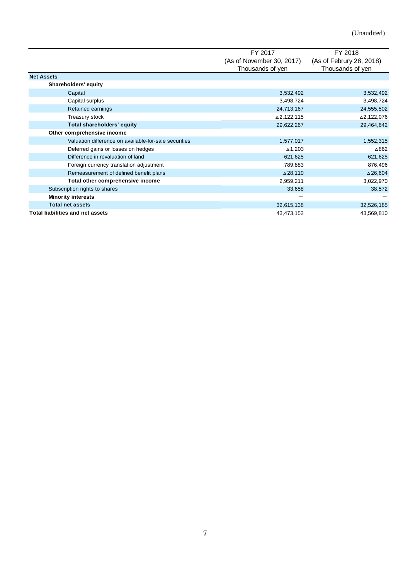|                                                       | FY 2017                   | FY 2018                  |
|-------------------------------------------------------|---------------------------|--------------------------|
|                                                       | (As of November 30, 2017) | (As of Februry 28, 2018) |
|                                                       | Thousands of yen          | Thousands of yen         |
| <b>Net Assets</b>                                     |                           |                          |
| Shareholders' equity                                  |                           |                          |
| Capital                                               | 3,532,492                 | 3,532,492                |
| Capital surplus                                       | 3,498,724                 | 3,498,724                |
| Retained earnings                                     | 24,713,167                | 24,555,502               |
| Treasury stock                                        | △2,122,115                | △2,122,076               |
| Total shareholders' equity                            | 29,622,267                | 29,464,642               |
| Other comprehensive income                            |                           |                          |
| Valuation difference on available-for-sale securities | 1,577,017                 | 1,552,315                |
| Deferred gains or losses on hedges                    | $\triangle$ 1,203         | $\triangle$ 862          |
| Difference in revaluation of land                     | 621,625                   | 621,625                  |
| Foreign currency translation adjustment               | 789,883                   | 876,496                  |
| Remeasurement of defined benefit plans                | △28,110                   | $\triangle$ 26,604       |
| Total other comprehensive income                      | 2,959,211                 | 3,022,970                |
| Subscription rights to shares                         | 33,658                    | 38,572                   |
| <b>Minority interests</b>                             |                           |                          |
| <b>Total net assets</b>                               | 32,615,138                | 32,526,185               |
| <b>Total liabilities and net assets</b>               | 43,473,152                | 43,569,810               |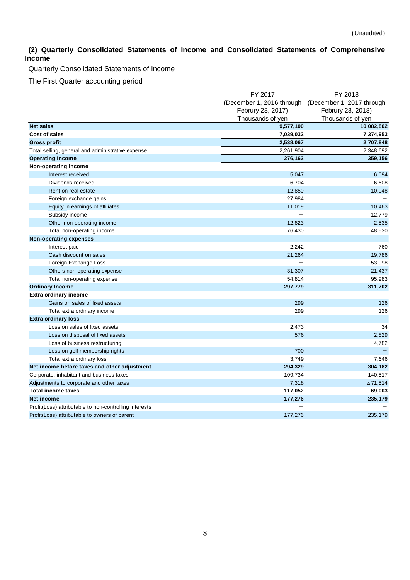## <span id="page-7-0"></span>**(2) Quarterly Consolidated Statements of Income and Consolidated Statements of Comprehensive Income**

Quarterly Consolidated Statements of Income

The First Quarter accounting period

|                                                        | FY 2017                   | FY 2018                   |
|--------------------------------------------------------|---------------------------|---------------------------|
|                                                        | (December 1, 2016 through | (December 1, 2017 through |
|                                                        | Februry 28, 2017)         | Februry 28, 2018)         |
|                                                        | Thousands of yen          | Thousands of yen          |
| <b>Net sales</b>                                       | 9,577,100                 | 10,082,802                |
| Cost of sales                                          | 7,039,032                 | 7,374,953                 |
| <b>Gross profit</b>                                    | 2,538,067                 | 2,707,848                 |
| Total selling, general and administrative expense      | 2,261,904                 | 2,348,692                 |
| <b>Operating Income</b>                                | 276,163                   | 359,156                   |
| Non-operating income                                   |                           |                           |
| Interest received                                      | 5,047                     | 6,094                     |
| Dividends received                                     | 6,704                     | 6,608                     |
| Rent on real estate                                    | 12,850                    | 10,048                    |
| Foreign exchange gains                                 | 27,984                    |                           |
| Equity in earnings of affiliates                       | 11,019                    | 10,463                    |
| Subsidy income                                         |                           | 12,779                    |
| Other non-operating income                             | 12,823                    | 2,535                     |
| Total non-operating income                             | 76,430                    | 48,530                    |
| Non-operating expenses                                 |                           |                           |
| Interest paid                                          | 2,242                     | 760                       |
| Cash discount on sales                                 | 21,264                    | 19,786                    |
| Foreign Exchange Loss                                  |                           | 53,998                    |
| Others non-operating expense                           | 31,307                    | 21,437                    |
| Total non-operating expense                            | 54,814                    | 95,983                    |
| <b>Ordinary Income</b>                                 | 297,779                   | 311,702                   |
| <b>Extra ordinary income</b>                           |                           |                           |
| Gains on sales of fixed assets                         | 299                       | 126                       |
| Total extra ordinary income                            | 299                       | 126                       |
| <b>Extra ordinary loss</b>                             |                           |                           |
| Loss on sales of fixed assets                          | 2,473                     | 34                        |
| Loss on disposal of fixed assets                       | 576                       | 2,829                     |
| Loss of business restructuring                         |                           | 4,782                     |
| Loss on golf membership rights                         | 700                       |                           |
| Total extra ordinary loss                              | 3,749                     | 7,646                     |
| Net income before taxes and other adjustment           | 294,329                   | 304,182                   |
| Corporate, inhabitant and business taxes               | 109,734                   | 140,517                   |
| Adjustments to corporate and other taxes               | 7,318                     | ∆71,514                   |
| <b>Total income taxes</b>                              | 117,052                   | 69,003                    |
| Net income                                             | 177,276                   | 235,179                   |
| Profit(Loss) attributable to non-controlling interests |                           |                           |
| Profit(Loss) attributable to owners of parent          | 177,276                   | 235,179                   |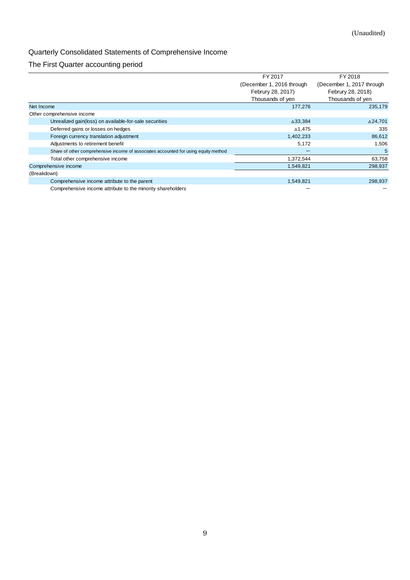# Quarterly Consolidated Statements of Comprehensive Income

## The First Quarter accounting period

|                                                                                     | FY 2017                   | FY 2018                   |
|-------------------------------------------------------------------------------------|---------------------------|---------------------------|
|                                                                                     | (December 1, 2016 through | (December 1, 2017 through |
|                                                                                     | Februry 28, 2017)         | Februry 28, 2018)         |
|                                                                                     | Thousands of yen          | Thousands of yen          |
| Net Income                                                                          | 177,276                   | 235,179                   |
| Other comprehensive income                                                          |                           |                           |
| Unrealized gain(loss) on available-for-sale securities                              | △33,384                   | ∆24,701                   |
| Deferred gains or losses on hedges                                                  | ∆1,475                    | 335                       |
| Foreign currency translation adjustment                                             | 1,402,233                 | 86,612                    |
| Adjustments to retirement benefit                                                   | 5,172                     | 1,506                     |
| Share of other comprehensive income of associates accounted for using equity method |                           | 5                         |
| Total other comprehensive income                                                    | 1,372,544                 | 63,758                    |
| Comprehensive income                                                                | 1,549,821                 | 298,937                   |
| (Breakdown)                                                                         |                           |                           |
| Comprehensive income attribute to the parent                                        | 1,549,821                 | 298,937                   |
| Comprehensive income attribute to the minority shareholders                         |                           |                           |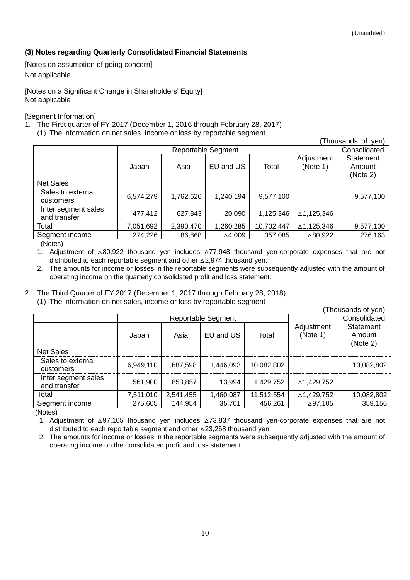## <span id="page-9-0"></span>**(3) Notes regarding Quarterly Consolidated Financial Statements**

<span id="page-9-1"></span>[Notes on assumption of going concern] Not applicable.

<span id="page-9-2"></span>[Notes on a Significant Change in Shareholders' Equity] Not applicable

<span id="page-9-3"></span>[Segment Information]

- 1. The First quarter of FY 2017 (December 1, 2016 through February 28, 2017)
	- (1) The information on net sales, income or loss by reportable segment

|                                     |           |                           |           |            |                        | (Thousands of yen)              |
|-------------------------------------|-----------|---------------------------|-----------|------------|------------------------|---------------------------------|
|                                     |           | <b>Reportable Segment</b> |           |            |                        | Consolidated                    |
|                                     | Japan     | Asia                      | EU and US | Total      | Adjustment<br>(Note 1) | Statement<br>Amount<br>(Note 2) |
| <b>Net Sales</b>                    |           |                           |           |            |                        |                                 |
| Sales to external<br>customers      | 6,574,279 | 1,762,626                 | 1,240,194 | 9,577,100  |                        | 9,577,100                       |
| Inter segment sales<br>and transfer | 477,412   | 627.843                   | 20,090    | 1.125.346  | ∆1,125,346             |                                 |
| Total                               | 7,051,692 | 2,390,470                 | 1,260,285 | 10,702,447 | ∆1,125,346             | 9,577,100                       |
| Segment income                      | 274,226   | 86,868                    | ∆4,009    | 357,085    | △80,922                | 276,163                         |
| (A A A)                             |           |                           |           |            |                        |                                 |

(Notes)

1. Adjustment of △80,922 thousand yen includes △77,948 thousand yen-corporate expenses that are not distributed to each reportable segment and other △2,974 thousand yen.

2. The amounts for income or losses in the reportable segments were subsequently adjusted with the amount of operating income on the quarterly consolidated profit and loss statement.

## 2. The Third Quarter of FY 2017 (December 1, 2017 through February 28, 2018)

(1) The information on net sales, income or loss by reportable segment

| (Thousands of yen)                  |                           |           |           |            |                        |                                        |
|-------------------------------------|---------------------------|-----------|-----------|------------|------------------------|----------------------------------------|
|                                     | <b>Reportable Segment</b> |           |           |            |                        | Consolidated                           |
|                                     | Japan                     | Asia      | EU and US | Total      | Adjustment<br>(Note 1) | <b>Statement</b><br>Amount<br>(Note 2) |
| <b>Net Sales</b>                    |                           |           |           |            |                        |                                        |
| Sales to external<br>customers      | 6,949,110                 | 1,687,598 | 1,446,093 | 10,082,802 |                        | 10,082,802                             |
| Inter segment sales<br>and transfer | 561,900                   | 853,857   | 13,994    | 1,429,752  | △1,429,752             |                                        |
| Total                               | 7,511,010                 | 2,541,455 | 1,460,087 | 11,512,554 | ∆1,429,752             | 10,082,802                             |
| Segment income                      | 275,605                   | 144,954   | 35,701    | 456,261    | ∆97,105                | 359,156                                |

(Notes)

1. Adjustment of △97,105 thousand yen includes △73,837 thousand yen-corporate expenses that are not distributed to each reportable segment and other △23,268 thousand yen.

2. The amounts for income or losses in the reportable segments were subsequently adjusted with the amount of operating income on the consolidated profit and loss statement.